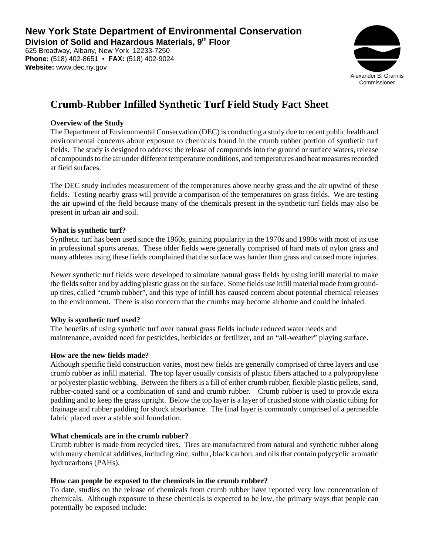625 Broadway, Albany, New York 12233-7250 **Phone:** (518) 402-8651 • **FAX:** (518) 402-9024 **Website:** www.dec.ny.gov



# **Crumb-Rubber Infilled Synthetic Turf Field Study Fact Sheet**

## **Overview of the Study**

The Department of Environmental Conservation (DEC) is conducting a study due to recent public health and environmental concerns about exposure to chemicals found in the crumb rubber portion of synthetic turf fields. The study is designed to address: the release of compounds into the ground or surface waters, release of compounds to the air under different temperature conditions, and temperatures and heat measures recorded at field surfaces.

The DEC study includes measurement of the temperatures above nearby grass and the air upwind of these fields. Testing nearby grass will provide a comparison of the temperatures on grass fields. We are testing the air upwind of the field because many of the chemicals present in the synthetic turf fields may also be present in urban air and soil.

## **What is synthetic turf?**

Synthetic turf has been used since the 1960s, gaining popularity in the 1970s and 1980s with most of its use in professional sports arenas. These older fields were generally comprised of hard mats of nylon grass and many athletes using these fields complained that the surface was harder than grass and caused more injuries.

Newer synthetic turf fields were developed to simulate natural grass fields by using infill material to make the fields softer and by adding plastic grass on the surface. Some fields use infill material made from groundup tires, called "crumb rubber", and this type of infill has caused concern about potential chemical releases to the environment. There is also concern that the crumbs may become airborne and could be inhaled.

#### **Why is synthetic turf used?**

The benefits of using synthetic turf over natural grass fields include reduced water needs and maintenance, avoided need for pesticides, herbicides or fertilizer, and an "all-weather" playing surface.

#### **How are the new fields made?**

Although specific field construction varies, most new fields are generally comprised of three layers and use crumb rubber as infill material. The top layer usually consists of plastic fibers attached to a polypropylene or polyester plastic webbing. Between the fibers is a fill of either crumb rubber, flexible plastic pellets, sand, rubber-coated sand or a combination of sand and crumb rubber. Crumb rubber is used to provide extra padding and to keep the grass upright. Below the top layer is a layer of crushed stone with plastic tubing for drainage and rubber padding for shock absorbance. The final layer is commonly comprised of a permeable fabric placed over a stable soil foundation.

#### **What chemicals are in the crumb rubber?**

Crumb rubber is made from recycled tires. Tires are manufactured from natural and synthetic rubber along with many chemical additives, including zinc, sulfur, black carbon, and oils that contain polycyclic aromatic hydrocarbons (PAHs).

# **How can people be exposed to the chemicals in the crumb rubber?**

To date, studies on the release of chemicals from crumb rubber have reported very low concentration of chemicals. Although exposure to these chemicals is expected to be low, the primary ways that people can potentially be exposed include: